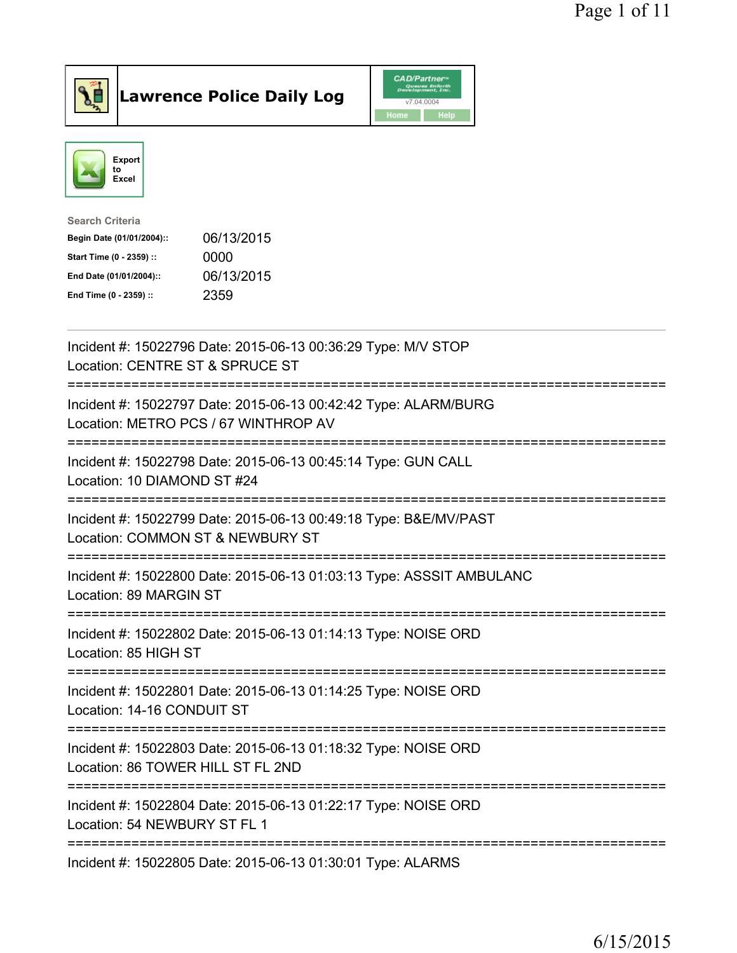

## Lawrence Police Daily Log

|      | <b>CAD/Partner</b> <sup>*</sup><br>Queues Enforth<br>Development, Inc. |
|------|------------------------------------------------------------------------|
|      | v7.04.0004                                                             |
| Home | Help                                                                   |



| Search Criteria           |            |
|---------------------------|------------|
| Begin Date (01/01/2004):: | 06/13/2015 |
| Start Time (0 - 2359) ::  | 0000       |
| End Date (01/01/2004)::   | 06/13/2015 |
| End Time (0 - 2359) ::    | 2359       |
|                           |            |

| Incident #: 15022796 Date: 2015-06-13 00:36:29 Type: M/V STOP<br>Location: CENTRE ST & SPRUCE ST                                              |
|-----------------------------------------------------------------------------------------------------------------------------------------------|
| Incident #: 15022797 Date: 2015-06-13 00:42:42 Type: ALARM/BURG<br>Location: METRO PCS / 67 WINTHROP AV<br>:=======================           |
| Incident #: 15022798 Date: 2015-06-13 00:45:14 Type: GUN CALL<br>Location: 10 DIAMOND ST #24<br>==============                                |
| Incident #: 15022799 Date: 2015-06-13 00:49:18 Type: B&E/MV/PAST<br>Location: COMMON ST & NEWBURY ST<br>----------------------<br>----------- |
| Incident #: 15022800 Date: 2015-06-13 01:03:13 Type: ASSSIT AMBULANC<br>Location: 89 MARGIN ST                                                |
| Incident #: 15022802 Date: 2015-06-13 01:14:13 Type: NOISE ORD<br>Location: 85 HIGH ST                                                        |
| Incident #: 15022801 Date: 2015-06-13 01:14:25 Type: NOISE ORD<br>Location: 14-16 CONDUIT ST                                                  |
| Incident #: 15022803 Date: 2015-06-13 01:18:32 Type: NOISE ORD<br>Location: 86 TOWER HILL ST FL 2ND                                           |
| Incident #: 15022804 Date: 2015-06-13 01:22:17 Type: NOISE ORD<br>Location: 54 NEWBURY ST FL 1                                                |
| Incident #: 15022805 Date: 2015-06-13 01:30:01 Type: ALARMS                                                                                   |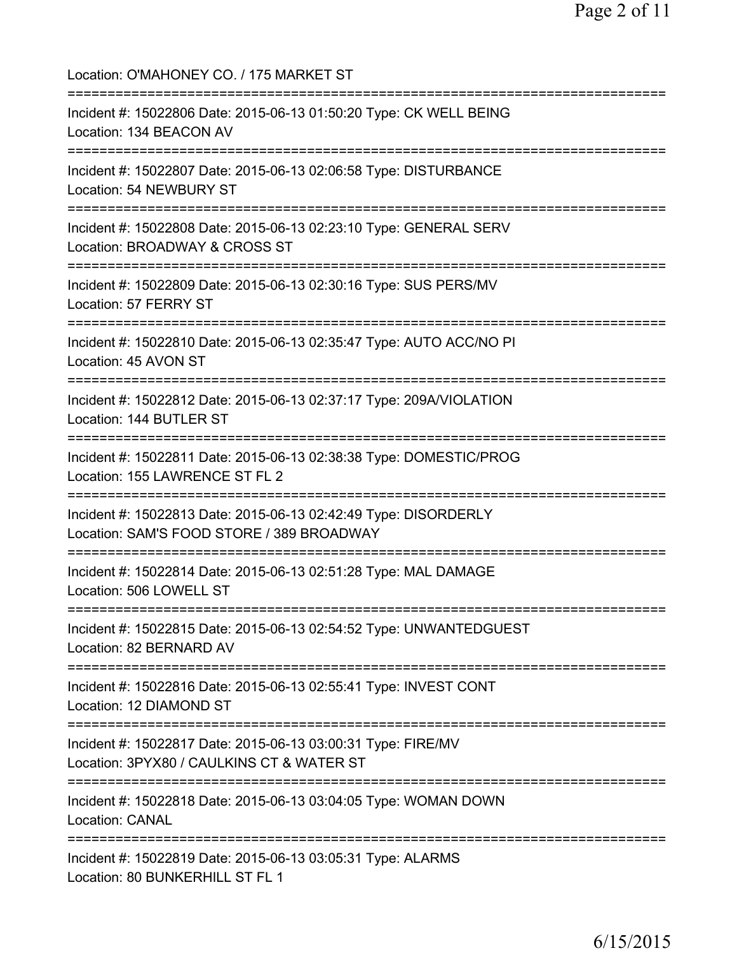Location: O'MAHONEY CO. / 175 MARKET ST =========================================================================== Incident #: 15022806 Date: 2015-06-13 01:50:20 Type: CK WELL BEING Location: 134 BEACON AV =========================================================================== Incident #: 15022807 Date: 2015-06-13 02:06:58 Type: DISTURBANCE Location: 54 NEWBURY ST =========================================================================== Incident #: 15022808 Date: 2015-06-13 02:23:10 Type: GENERAL SERV Location: BROADWAY & CROSS ST =========================================================================== Incident #: 15022809 Date: 2015-06-13 02:30:16 Type: SUS PERS/MV Location: 57 FERRY ST =========================================================================== Incident #: 15022810 Date: 2015-06-13 02:35:47 Type: AUTO ACC/NO PI Location: 45 AVON ST =========================================================================== Incident #: 15022812 Date: 2015-06-13 02:37:17 Type: 209A/VIOLATION Location: 144 BUTLER ST =========================================================================== Incident #: 15022811 Date: 2015-06-13 02:38:38 Type: DOMESTIC/PROG Location: 155 LAWRENCE ST FL 2 =========================================================================== Incident #: 15022813 Date: 2015-06-13 02:42:49 Type: DISORDERLY Location: SAM'S FOOD STORE / 389 BROADWAY =========================================================================== Incident #: 15022814 Date: 2015-06-13 02:51:28 Type: MAL DAMAGE Location: 506 LOWELL ST =========================================================================== Incident #: 15022815 Date: 2015-06-13 02:54:52 Type: UNWANTEDGUEST Location: 82 BERNARD AV =========================================================================== Incident #: 15022816 Date: 2015-06-13 02:55:41 Type: INVEST CONT Location: 12 DIAMOND ST =========================================================================== Incident #: 15022817 Date: 2015-06-13 03:00:31 Type: FIRE/MV Location: 3PYX80 / CAULKINS CT & WATER ST =========================================================================== Incident #: 15022818 Date: 2015-06-13 03:04:05 Type: WOMAN DOWN Location: CANAL =========================================================================== Incident #: 15022819 Date: 2015-06-13 03:05:31 Type: ALARMS Location: 80 BUNKERHILL ST FL 1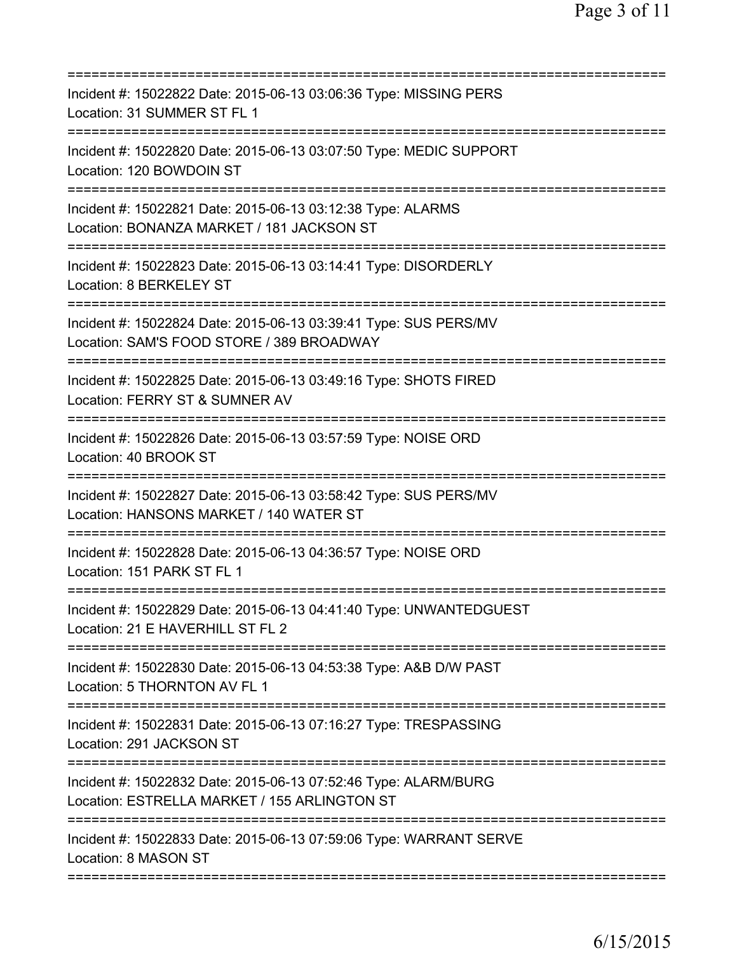| Incident #: 15022822 Date: 2015-06-13 03:06:36 Type: MISSING PERS<br>Location: 31 SUMMER ST FL 1                                                |
|-------------------------------------------------------------------------------------------------------------------------------------------------|
| Incident #: 15022820 Date: 2015-06-13 03:07:50 Type: MEDIC SUPPORT<br>Location: 120 BOWDOIN ST                                                  |
| Incident #: 15022821 Date: 2015-06-13 03:12:38 Type: ALARMS<br>Location: BONANZA MARKET / 181 JACKSON ST<br>==================                  |
| Incident #: 15022823 Date: 2015-06-13 03:14:41 Type: DISORDERLY<br>Location: 8 BERKELEY ST                                                      |
| Incident #: 15022824 Date: 2015-06-13 03:39:41 Type: SUS PERS/MV<br>Location: SAM'S FOOD STORE / 389 BROADWAY                                   |
| Incident #: 15022825 Date: 2015-06-13 03:49:16 Type: SHOTS FIRED<br>Location: FERRY ST & SUMNER AV<br>==========================<br>----------- |
| Incident #: 15022826 Date: 2015-06-13 03:57:59 Type: NOISE ORD<br>Location: 40 BROOK ST                                                         |
| Incident #: 15022827 Date: 2015-06-13 03:58:42 Type: SUS PERS/MV<br>Location: HANSONS MARKET / 140 WATER ST                                     |
| Incident #: 15022828 Date: 2015-06-13 04:36:57 Type: NOISE ORD<br>Location: 151 PARK ST FL 1                                                    |
| Incident #: 15022829 Date: 2015-06-13 04:41:40 Type: UNWANTEDGUEST<br>Location: 21 E HAVERHILL ST FL 2                                          |
| Incident #: 15022830 Date: 2015-06-13 04:53:38 Type: A&B D/W PAST<br>Location: 5 THORNTON AV FL 1                                               |
| Incident #: 15022831 Date: 2015-06-13 07:16:27 Type: TRESPASSING<br>Location: 291 JACKSON ST                                                    |
| Incident #: 15022832 Date: 2015-06-13 07:52:46 Type: ALARM/BURG<br>Location: ESTRELLA MARKET / 155 ARLINGTON ST                                 |
| Incident #: 15022833 Date: 2015-06-13 07:59:06 Type: WARRANT SERVE<br>Location: 8 MASON ST                                                      |
|                                                                                                                                                 |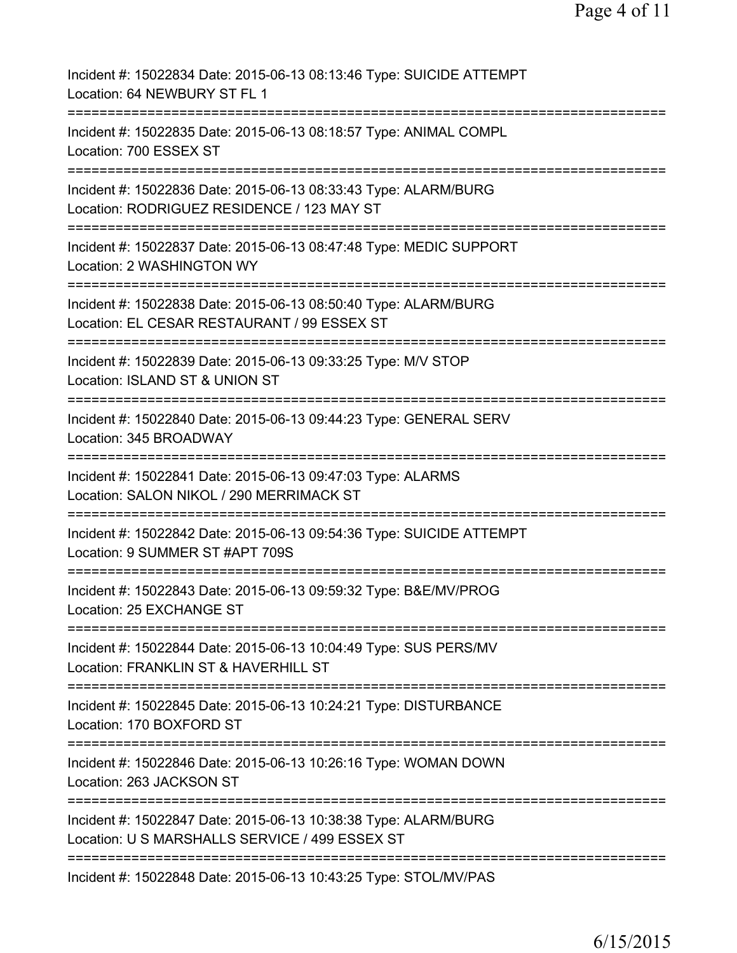| Incident #: 15022834 Date: 2015-06-13 08:13:46 Type: SUICIDE ATTEMPT<br>Location: 64 NEWBURY ST FL 1                    |
|-------------------------------------------------------------------------------------------------------------------------|
| Incident #: 15022835 Date: 2015-06-13 08:18:57 Type: ANIMAL COMPL<br>Location: 700 ESSEX ST                             |
| Incident #: 15022836 Date: 2015-06-13 08:33:43 Type: ALARM/BURG<br>Location: RODRIGUEZ RESIDENCE / 123 MAY ST           |
| Incident #: 15022837 Date: 2015-06-13 08:47:48 Type: MEDIC SUPPORT<br>Location: 2 WASHINGTON WY                         |
| Incident #: 15022838 Date: 2015-06-13 08:50:40 Type: ALARM/BURG<br>Location: EL CESAR RESTAURANT / 99 ESSEX ST          |
| ====================<br>Incident #: 15022839 Date: 2015-06-13 09:33:25 Type: M/V STOP<br>Location: ISLAND ST & UNION ST |
| Incident #: 15022840 Date: 2015-06-13 09:44:23 Type: GENERAL SERV<br>Location: 345 BROADWAY                             |
| Incident #: 15022841 Date: 2015-06-13 09:47:03 Type: ALARMS<br>Location: SALON NIKOL / 290 MERRIMACK ST                 |
| Incident #: 15022842 Date: 2015-06-13 09:54:36 Type: SUICIDE ATTEMPT<br>Location: 9 SUMMER ST #APT 709S                 |
| Incident #: 15022843 Date: 2015-06-13 09:59:32 Type: B&E/MV/PROG<br>Location: 25 EXCHANGE ST                            |
| Incident #: 15022844 Date: 2015-06-13 10:04:49 Type: SUS PERS/MV<br>Location: FRANKLIN ST & HAVERHILL ST                |
| Incident #: 15022845 Date: 2015-06-13 10:24:21 Type: DISTURBANCE<br>Location: 170 BOXFORD ST                            |
| Incident #: 15022846 Date: 2015-06-13 10:26:16 Type: WOMAN DOWN<br>Location: 263 JACKSON ST                             |
| Incident #: 15022847 Date: 2015-06-13 10:38:38 Type: ALARM/BURG<br>Location: U S MARSHALLS SERVICE / 499 ESSEX ST       |
| Incident #: 15022848 Date: 2015-06-13 10:43:25 Type: STOL/MV/PAS                                                        |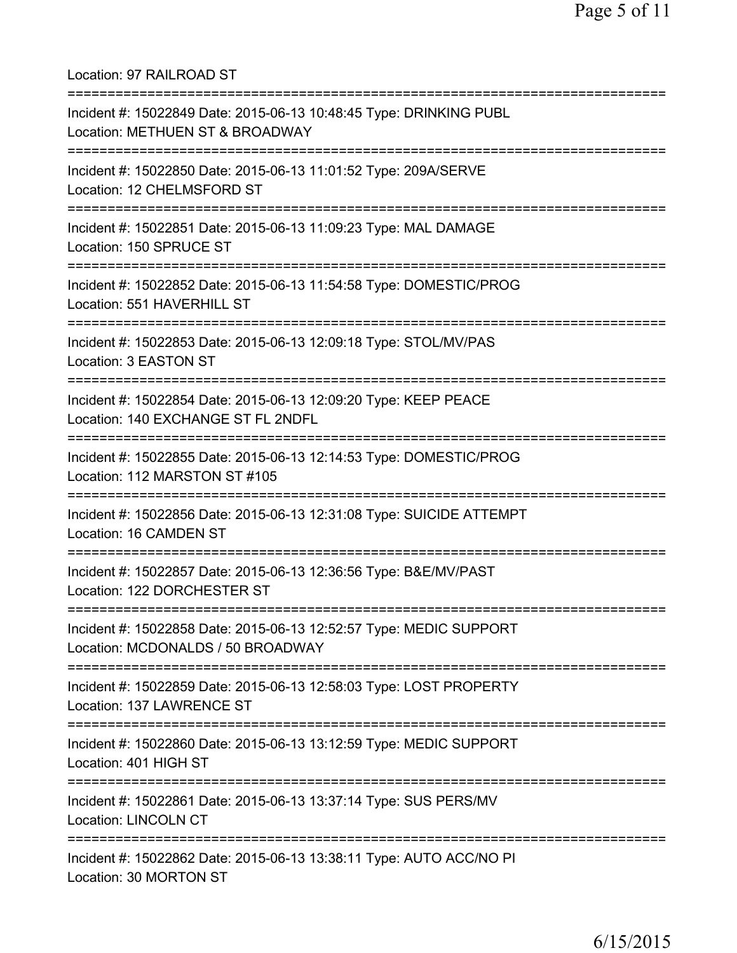Location: 97 RAILROAD ST =========================================================================== Incident #: 15022849 Date: 2015-06-13 10:48:45 Type: DRINKING PUBL Location: METHUEN ST & BROADWAY =========================================================================== Incident #: 15022850 Date: 2015-06-13 11:01:52 Type: 209A/SERVE Location: 12 CHELMSFORD ST =========================================================================== Incident #: 15022851 Date: 2015-06-13 11:09:23 Type: MAL DAMAGE Location: 150 SPRUCE ST =========================================================================== Incident #: 15022852 Date: 2015-06-13 11:54:58 Type: DOMESTIC/PROG Location: 551 HAVERHILL ST =========================================================================== Incident #: 15022853 Date: 2015-06-13 12:09:18 Type: STOL/MV/PAS Location: 3 EASTON ST =========================================================================== Incident #: 15022854 Date: 2015-06-13 12:09:20 Type: KEEP PEACE Location: 140 EXCHANGE ST FL 2NDFL =========================================================================== Incident #: 15022855 Date: 2015-06-13 12:14:53 Type: DOMESTIC/PROG Location: 112 MARSTON ST #105 =========================================================================== Incident #: 15022856 Date: 2015-06-13 12:31:08 Type: SUICIDE ATTEMPT Location: 16 CAMDEN ST =========================================================================== Incident #: 15022857 Date: 2015-06-13 12:36:56 Type: B&E/MV/PAST Location: 122 DORCHESTER ST =========================================================================== Incident #: 15022858 Date: 2015-06-13 12:52:57 Type: MEDIC SUPPORT Location: MCDONALDS / 50 BROADWAY =========================================================================== Incident #: 15022859 Date: 2015-06-13 12:58:03 Type: LOST PROPERTY Location: 137 LAWRENCE ST =========================================================================== Incident #: 15022860 Date: 2015-06-13 13:12:59 Type: MEDIC SUPPORT Location: 401 HIGH ST =========================================================================== Incident #: 15022861 Date: 2015-06-13 13:37:14 Type: SUS PERS/MV Location: LINCOLN CT =========================================================================== Incident #: 15022862 Date: 2015-06-13 13:38:11 Type: AUTO ACC/NO PI Location: 30 MORTON ST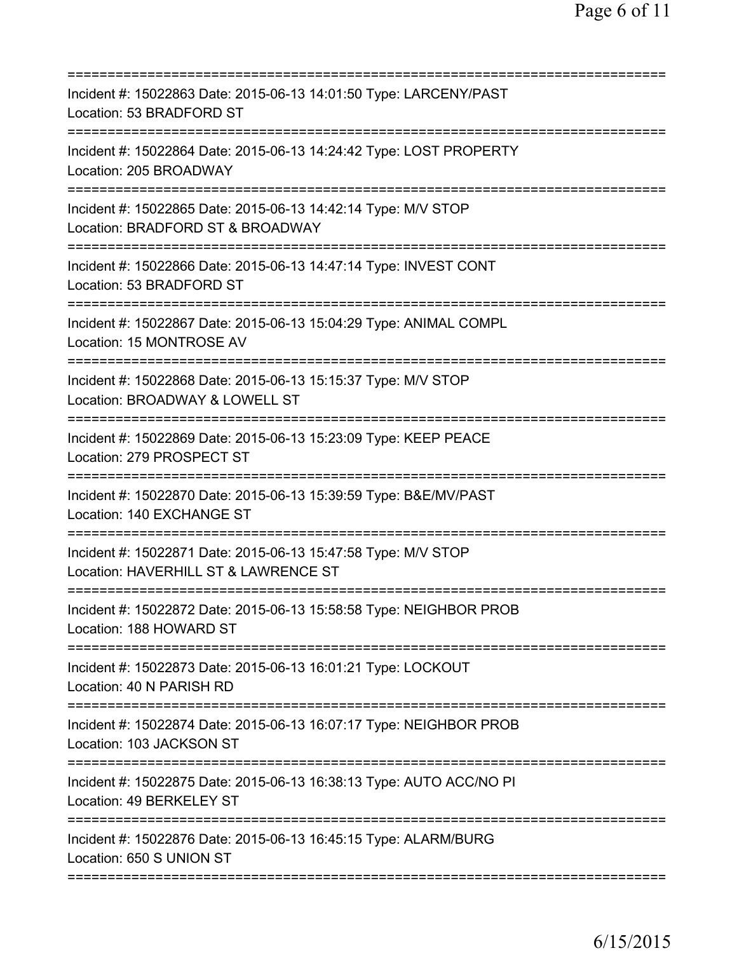| :=========================                                                                                                                     |
|------------------------------------------------------------------------------------------------------------------------------------------------|
| Incident #: 15022863 Date: 2015-06-13 14:01:50 Type: LARCENY/PAST<br>Location: 53 BRADFORD ST                                                  |
| Incident #: 15022864 Date: 2015-06-13 14:24:42 Type: LOST PROPERTY<br>Location: 205 BROADWAY                                                   |
| Incident #: 15022865 Date: 2015-06-13 14:42:14 Type: M/V STOP<br>Location: BRADFORD ST & BROADWAY                                              |
| Incident #: 15022866 Date: 2015-06-13 14:47:14 Type: INVEST CONT<br>Location: 53 BRADFORD ST                                                   |
| Incident #: 15022867 Date: 2015-06-13 15:04:29 Type: ANIMAL COMPL<br>Location: 15 MONTROSE AV                                                  |
| Incident #: 15022868 Date: 2015-06-13 15:15:37 Type: M/V STOP<br>Location: BROADWAY & LOWELL ST                                                |
| Incident #: 15022869 Date: 2015-06-13 15:23:09 Type: KEEP PEACE<br>Location: 279 PROSPECT ST                                                   |
| Incident #: 15022870 Date: 2015-06-13 15:39:59 Type: B&E/MV/PAST<br>Location: 140 EXCHANGE ST                                                  |
| :====================================<br>Incident #: 15022871 Date: 2015-06-13 15:47:58 Type: M/V STOP<br>Location: HAVERHILL ST & LAWRENCE ST |
| Incident #: 15022872 Date: 2015-06-13 15:58:58 Type: NEIGHBOR PROB<br>Location: 188 HOWARD ST                                                  |
| Incident #: 15022873 Date: 2015-06-13 16:01:21 Type: LOCKOUT<br>Location: 40 N PARISH RD                                                       |
| Incident #: 15022874 Date: 2015-06-13 16:07:17 Type: NEIGHBOR PROB<br>Location: 103 JACKSON ST                                                 |
| Incident #: 15022875 Date: 2015-06-13 16:38:13 Type: AUTO ACC/NO PI<br>Location: 49 BERKELEY ST                                                |
| Incident #: 15022876 Date: 2015-06-13 16:45:15 Type: ALARM/BURG<br>Location: 650 S UNION ST                                                    |
|                                                                                                                                                |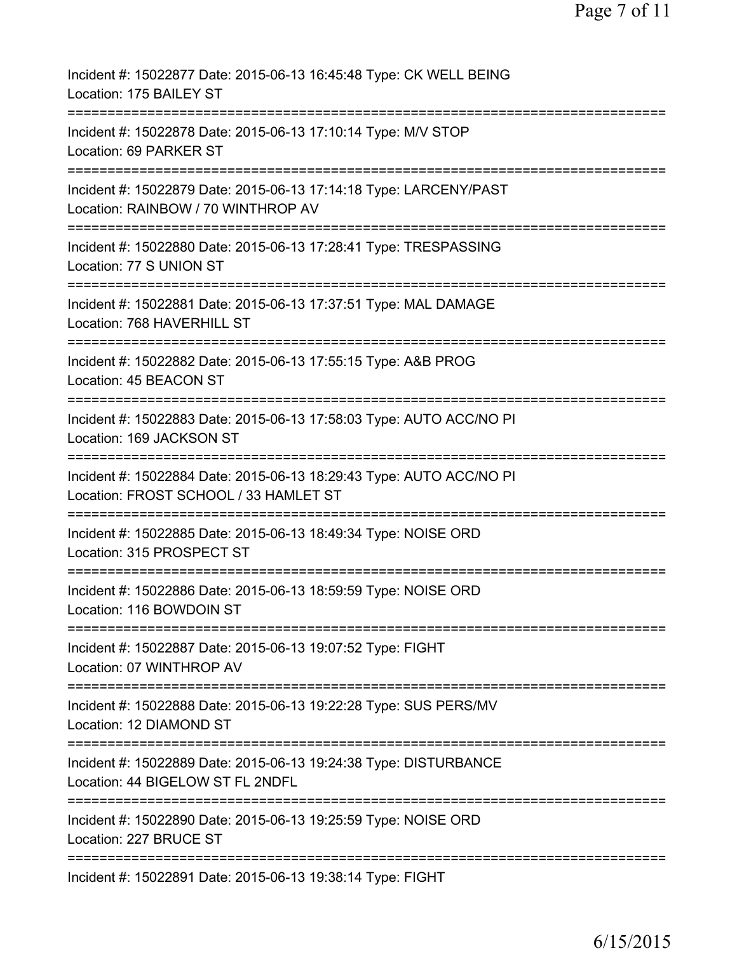| Incident #: 15022877 Date: 2015-06-13 16:45:48 Type: CK WELL BEING<br>Location: 175 BAILEY ST                |
|--------------------------------------------------------------------------------------------------------------|
| Incident #: 15022878 Date: 2015-06-13 17:10:14 Type: M/V STOP<br>Location: 69 PARKER ST                      |
| Incident #: 15022879 Date: 2015-06-13 17:14:18 Type: LARCENY/PAST<br>Location: RAINBOW / 70 WINTHROP AV      |
| Incident #: 15022880 Date: 2015-06-13 17:28:41 Type: TRESPASSING<br>Location: 77 S UNION ST                  |
| Incident #: 15022881 Date: 2015-06-13 17:37:51 Type: MAL DAMAGE<br>Location: 768 HAVERHILL ST                |
| Incident #: 15022882 Date: 2015-06-13 17:55:15 Type: A&B PROG<br>Location: 45 BEACON ST                      |
| Incident #: 15022883 Date: 2015-06-13 17:58:03 Type: AUTO ACC/NO PI<br>Location: 169 JACKSON ST              |
| Incident #: 15022884 Date: 2015-06-13 18:29:43 Type: AUTO ACC/NO PI<br>Location: FROST SCHOOL / 33 HAMLET ST |
| Incident #: 15022885 Date: 2015-06-13 18:49:34 Type: NOISE ORD<br>Location: 315 PROSPECT ST                  |
| Incident #: 15022886 Date: 2015-06-13 18:59:59 Type: NOISE ORD<br>Location: 116 BOWDOIN ST                   |
| Incident #: 15022887 Date: 2015-06-13 19:07:52 Type: FIGHT<br>Location: 07 WINTHROP AV                       |
| Incident #: 15022888 Date: 2015-06-13 19:22:28 Type: SUS PERS/MV<br>Location: 12 DIAMOND ST                  |
| Incident #: 15022889 Date: 2015-06-13 19:24:38 Type: DISTURBANCE<br>Location: 44 BIGELOW ST FL 2NDFL         |
| Incident #: 15022890 Date: 2015-06-13 19:25:59 Type: NOISE ORD<br>Location: 227 BRUCE ST                     |
| Incident #: 15022891 Date: 2015-06-13 19:38:14 Type: FIGHT                                                   |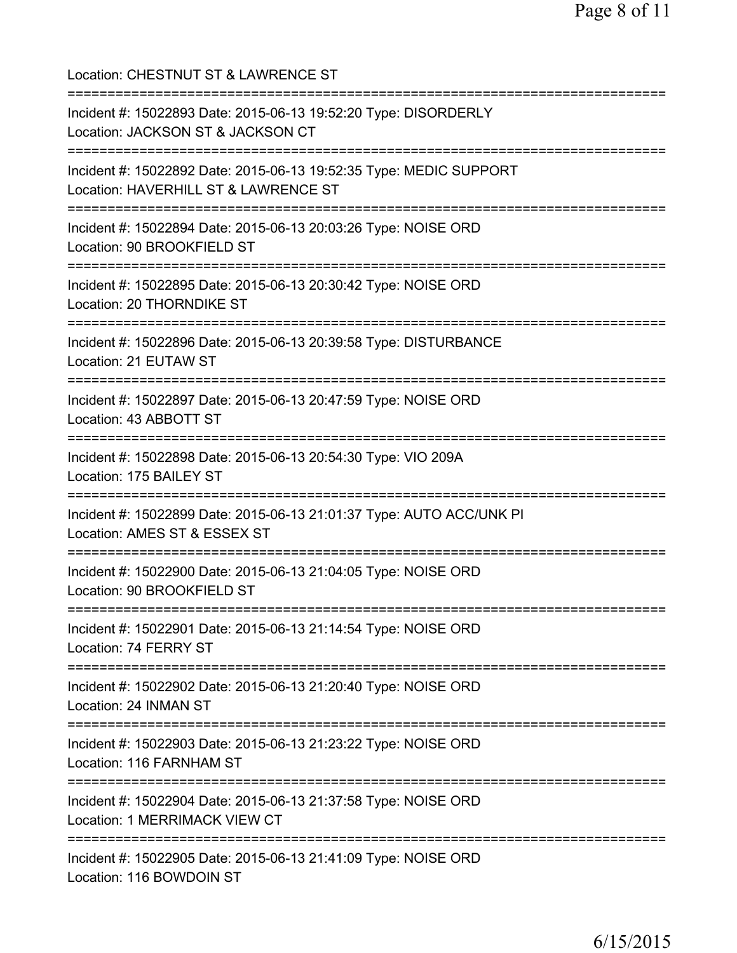| Location: CHESTNUT ST & LAWRENCE ST                                                                                            |
|--------------------------------------------------------------------------------------------------------------------------------|
| Incident #: 15022893 Date: 2015-06-13 19:52:20 Type: DISORDERLY<br>Location: JACKSON ST & JACKSON CT                           |
| Incident #: 15022892 Date: 2015-06-13 19:52:35 Type: MEDIC SUPPORT<br>Location: HAVERHILL ST & LAWRENCE ST                     |
| Incident #: 15022894 Date: 2015-06-13 20:03:26 Type: NOISE ORD<br>Location: 90 BROOKFIELD ST                                   |
| Incident #: 15022895 Date: 2015-06-13 20:30:42 Type: NOISE ORD<br>Location: 20 THORNDIKE ST                                    |
| =================================<br>Incident #: 15022896 Date: 2015-06-13 20:39:58 Type: DISTURBANCE<br>Location: 21 EUTAW ST |
| Incident #: 15022897 Date: 2015-06-13 20:47:59 Type: NOISE ORD<br>Location: 43 ABBOTT ST                                       |
| Incident #: 15022898 Date: 2015-06-13 20:54:30 Type: VIO 209A<br>Location: 175 BAILEY ST                                       |
| Incident #: 15022899 Date: 2015-06-13 21:01:37 Type: AUTO ACC/UNK PI<br>Location: AMES ST & ESSEX ST                           |
| Incident #: 15022900 Date: 2015-06-13 21:04:05 Type: NOISE ORD<br>Location: 90 BROOKFIELD ST                                   |
| Incident #: 15022901 Date: 2015-06-13 21:14:54 Type: NOISE ORD<br>Location: 74 FERRY ST                                        |
| Incident #: 15022902 Date: 2015-06-13 21:20:40 Type: NOISE ORD<br>Location: 24 INMAN ST                                        |
| Incident #: 15022903 Date: 2015-06-13 21:23:22 Type: NOISE ORD<br>Location: 116 FARNHAM ST                                     |
| Incident #: 15022904 Date: 2015-06-13 21:37:58 Type: NOISE ORD<br>Location: 1 MERRIMACK VIEW CT                                |
| Incident #: 15022905 Date: 2015-06-13 21:41:09 Type: NOISE ORD<br>Location: 116 BOWDOIN ST                                     |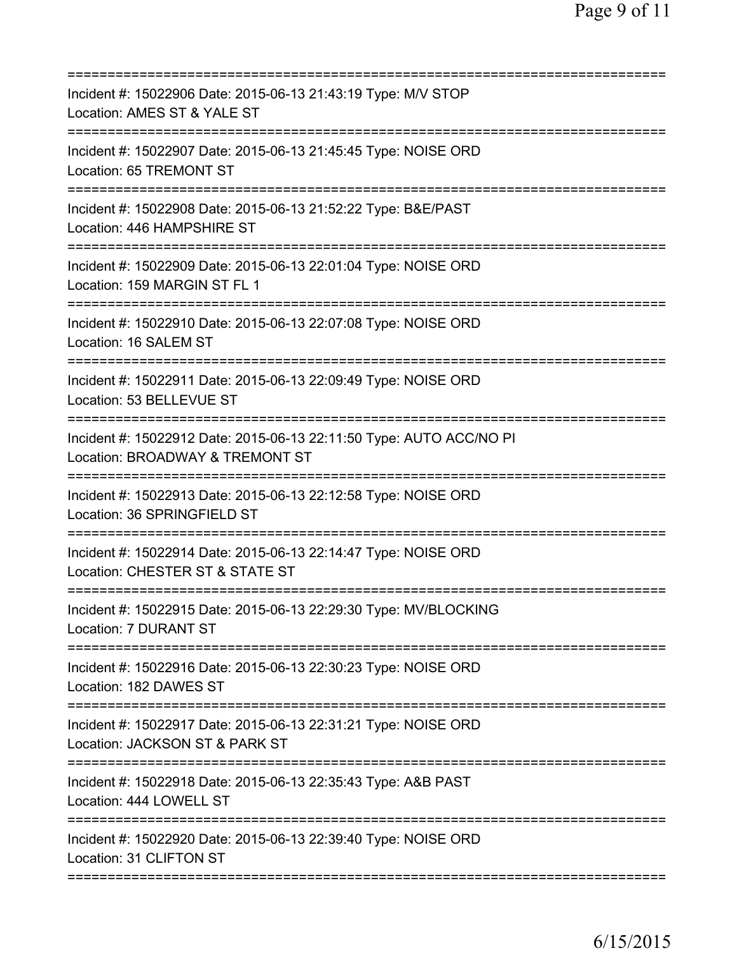| Incident #: 15022906 Date: 2015-06-13 21:43:19 Type: M/V STOP<br>Location: AMES ST & YALE ST                  |
|---------------------------------------------------------------------------------------------------------------|
| Incident #: 15022907 Date: 2015-06-13 21:45:45 Type: NOISE ORD<br>Location: 65 TREMONT ST                     |
| Incident #: 15022908 Date: 2015-06-13 21:52:22 Type: B&E/PAST<br>Location: 446 HAMPSHIRE ST                   |
| Incident #: 15022909 Date: 2015-06-13 22:01:04 Type: NOISE ORD<br>Location: 159 MARGIN ST FL 1                |
| Incident #: 15022910 Date: 2015-06-13 22:07:08 Type: NOISE ORD<br>Location: 16 SALEM ST                       |
| Incident #: 15022911 Date: 2015-06-13 22:09:49 Type: NOISE ORD<br>Location: 53 BELLEVUE ST<br>=============== |
| Incident #: 15022912 Date: 2015-06-13 22:11:50 Type: AUTO ACC/NO PI<br>Location: BROADWAY & TREMONT ST        |
| Incident #: 15022913 Date: 2015-06-13 22:12:58 Type: NOISE ORD<br>Location: 36 SPRINGFIELD ST                 |
| Incident #: 15022914 Date: 2015-06-13 22:14:47 Type: NOISE ORD<br>Location: CHESTER ST & STATE ST             |
| Incident #: 15022915 Date: 2015-06-13 22:29:30 Type: MV/BLOCKING<br>Location: 7 DURANT ST                     |
| Incident #: 15022916 Date: 2015-06-13 22:30:23 Type: NOISE ORD<br>Location: 182 DAWES ST                      |
| Incident #: 15022917 Date: 2015-06-13 22:31:21 Type: NOISE ORD<br>Location: JACKSON ST & PARK ST              |
| Incident #: 15022918 Date: 2015-06-13 22:35:43 Type: A&B PAST<br>Location: 444 LOWELL ST                      |
| Incident #: 15022920 Date: 2015-06-13 22:39:40 Type: NOISE ORD<br>Location: 31 CLIFTON ST                     |
|                                                                                                               |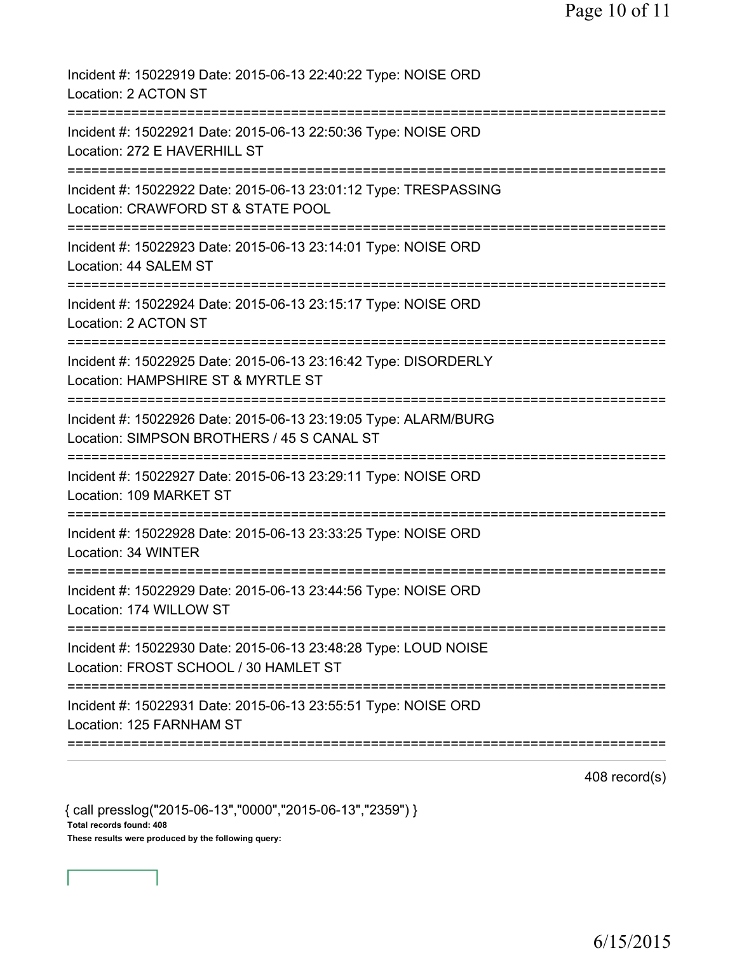| Incident #: 15022919 Date: 2015-06-13 22:40:22 Type: NOISE ORD<br>Location: 2 ACTON ST                                                            |
|---------------------------------------------------------------------------------------------------------------------------------------------------|
| Incident #: 15022921 Date: 2015-06-13 22:50:36 Type: NOISE ORD<br>Location: 272 E HAVERHILL ST                                                    |
| Incident #: 15022922 Date: 2015-06-13 23:01:12 Type: TRESPASSING<br>Location: CRAWFORD ST & STATE POOL                                            |
| Incident #: 15022923 Date: 2015-06-13 23:14:01 Type: NOISE ORD<br>Location: 44 SALEM ST                                                           |
| Incident #: 15022924 Date: 2015-06-13 23:15:17 Type: NOISE ORD<br>Location: 2 ACTON ST                                                            |
| Incident #: 15022925 Date: 2015-06-13 23:16:42 Type: DISORDERLY<br>Location: HAMPSHIRE ST & MYRTLE ST                                             |
| Incident #: 15022926 Date: 2015-06-13 23:19:05 Type: ALARM/BURG<br>Location: SIMPSON BROTHERS / 45 S CANAL ST<br>================================ |
| Incident #: 15022927 Date: 2015-06-13 23:29:11 Type: NOISE ORD<br>Location: 109 MARKET ST                                                         |
| Incident #: 15022928 Date: 2015-06-13 23:33:25 Type: NOISE ORD<br>Location: 34 WINTER                                                             |
| Incident #: 15022929 Date: 2015-06-13 23:44:56 Type: NOISE ORD<br>Location: 174 WILLOW ST                                                         |
| Incident #: 15022930 Date: 2015-06-13 23:48:28 Type: LOUD NOISE<br>Location: FROST SCHOOL / 30 HAMLET ST                                          |
| Incident #: 15022931 Date: 2015-06-13 23:55:51 Type: NOISE ORD<br>Location: 125 FARNHAM ST                                                        |
|                                                                                                                                                   |

408 record(s)

{ call presslog("2015-06-13","0000","2015-06-13","2359") } Total records found: 408 These results were produced by the following query: